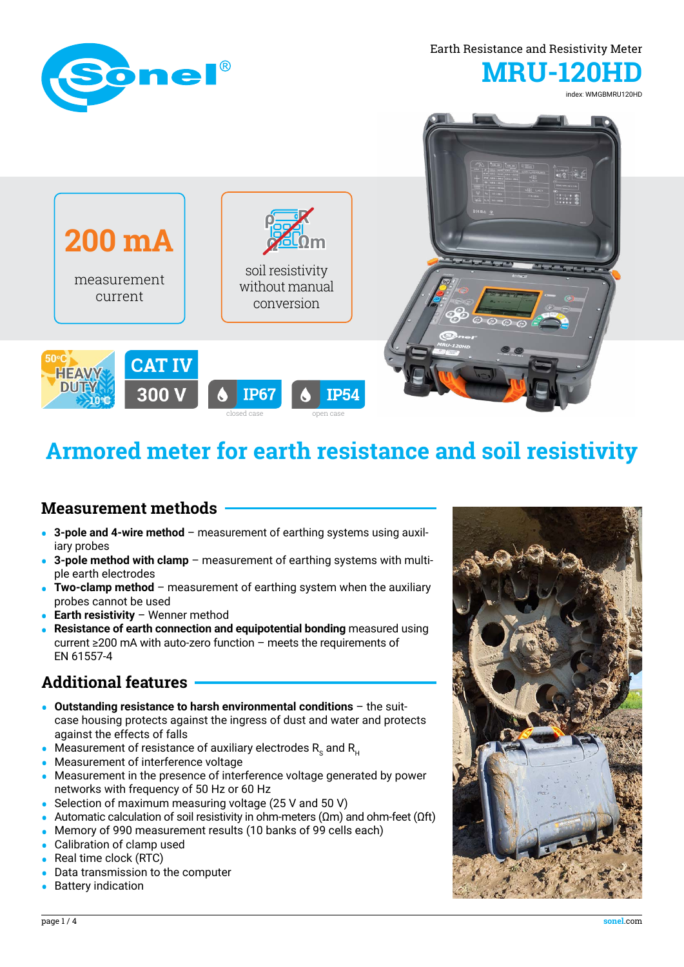

# **Armored meter for earth resistance and soil resistivity**

#### **Measurement methods**

- **• 3-pole and 4-wire method**  measurement of earthing systems using auxiliary probes
- **• 3-pole method with clamp** measurement of earthing systems with multiple earth electrodes
- **• Two-clamp method** measurement of earthing system when the auxiliary probes cannot be used
- **• Earth resistivity** Wenner method
- **• Resistance of earth connection and equipotential bonding** measured using current ≥200 mA with auto-zero function – meets the requirements of EN 61557-4

#### **Additional features**

- **• Outstanding resistance to harsh environmental conditions** the suitcase housing protects against the ingress of dust and water and protects against the effects of falls
- Measurement of resistance of auxiliary electrodes R<sub>s</sub> and R<sub>H</sub>
- **•** Measurement of interference voltage
- **•** Measurement in the presence of interference voltage generated by power networks with frequency of 50 Hz or 60 Hz
- **•** Selection of maximum measuring voltage (25 V and 50 V)
- **•** Automatic calculation of soil resistivity in ohm-meters (Ωm) and ohm-feet (Ωft)
- **•** Memory of 990 measurement results (10 banks of 99 cells each)
- **•** Calibration of clamp used
- **•** Real time clock (RTC)
- **•** Data transmission to the computer
- **•** Battery indication

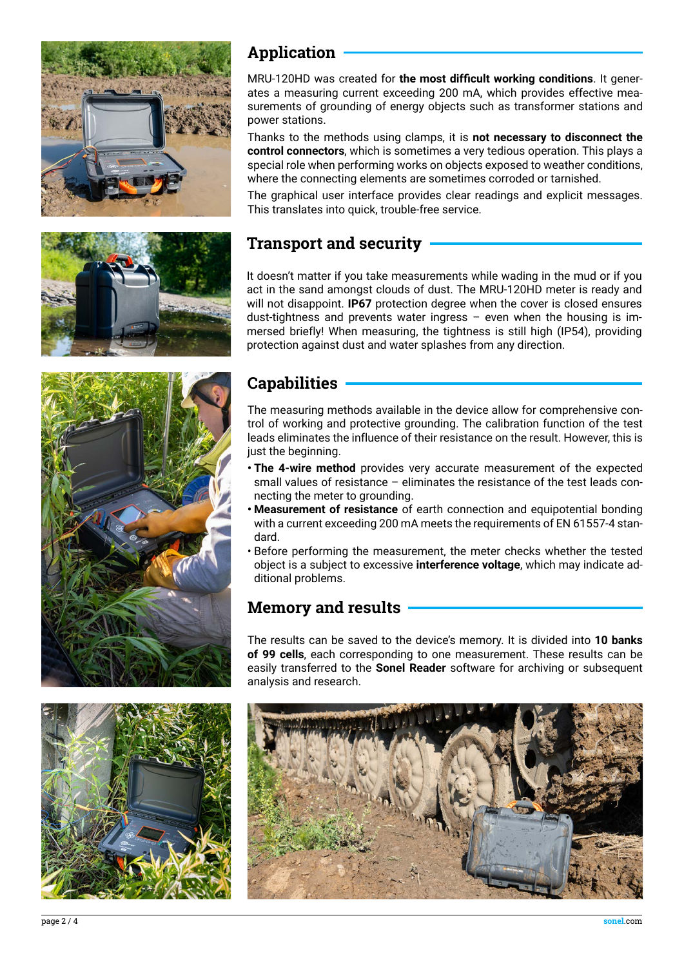







## **Application**

MRU-120HD was created for **the most difficult working conditions**. It generates a measuring current exceeding 200 mA, which provides effective measurements of grounding of energy objects such as transformer stations and power stations.

Thanks to the methods using clamps, it is **not necessary to disconnect the control connectors**, which is sometimes a very tedious operation. This plays a special role when performing works on objects exposed to weather conditions, where the connecting elements are sometimes corroded or tarnished.

The graphical user interface provides clear readings and explicit messages. This translates into quick, trouble-free service.

#### **Transport and security**

It doesn't matter if you take measurements while wading in the mud or if you act in the sand amongst clouds of dust. The MRU-120HD meter is ready and will not disappoint. **IP67** protection degree when the cover is closed ensures dust-tightness and prevents water ingress  $-$  even when the housing is immersed briefly! When measuring, the tightness is still high (IP54), providing protection against dust and water splashes from any direction.

## **Capabilities**

The measuring methods available in the device allow for comprehensive control of working and protective grounding. The calibration function of the test leads eliminates the influence of their resistance on the result. However, this is just the beginning.

- **• The 4-wire method** provides very accurate measurement of the expected small values of resistance – eliminates the resistance of the test leads connecting the meter to grounding.
- **• Measurement of resistance** of earth connection and equipotential bonding with a current exceeding 200 mA meets the requirements of EN 61557-4 standard.
- Before performing the measurement, the meter checks whether the tested object is a subject to excessive **interference voltage**, which may indicate additional problems.

#### **Memory and results**

The results can be saved to the device's memory. It is divided into **10 banks of 99 cells**, each corresponding to one measurement. These results can be easily transferred to the **Sonel Reader** software for archiving or subsequent analysis and research.

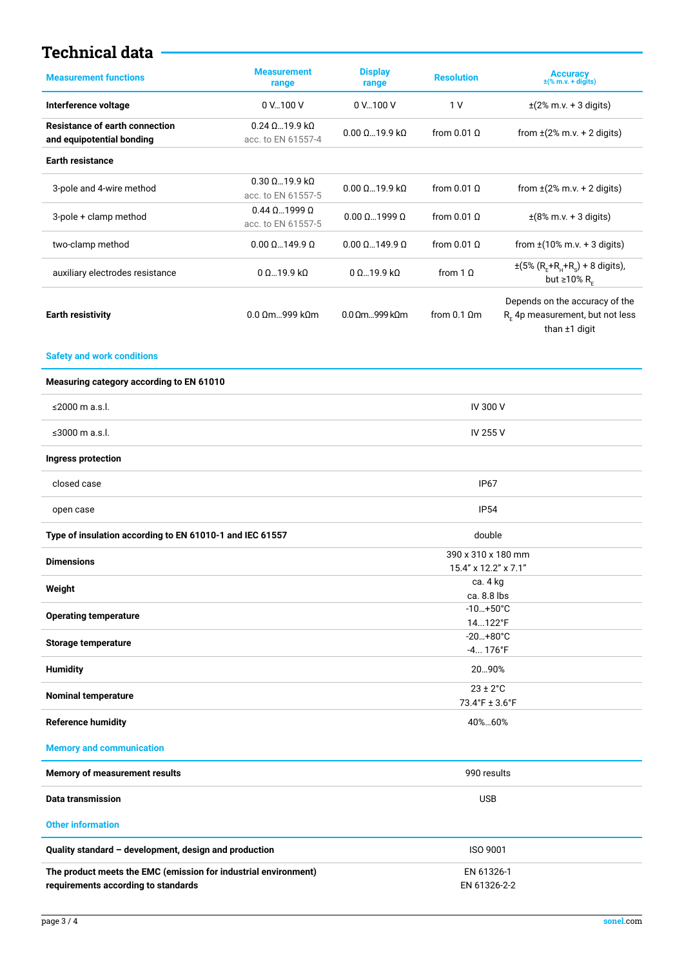#### **Technical data**

| <b>Measurement functions</b>                                                                           | <b>Measurement</b><br>range                           | <b>Display</b><br>range                    | <b>Resolution</b>        | Accuracy<br>$\pm$ (% m.v. + digits)                                                   |  |
|--------------------------------------------------------------------------------------------------------|-------------------------------------------------------|--------------------------------------------|--------------------------|---------------------------------------------------------------------------------------|--|
| Interference voltage                                                                                   | 0 V100 V                                              | 0 V 100 V                                  | 1 <sub>V</sub>           | $\pm$ (2% m.v. + 3 digits)                                                            |  |
| <b>Resistance of earth connection</b><br>and equipotential bonding                                     | $0.24$ $\Omega$ 19.9 k $\Omega$<br>acc. to EN 61557-4 | $0.00 \Omega$ 19.9 k $\Omega$              | from $0.01$ $\Omega$     | from $\pm$ (2% m.v. + 2 digits)                                                       |  |
| <b>Earth resistance</b>                                                                                |                                                       |                                            |                          |                                                                                       |  |
| 3-pole and 4-wire method                                                                               | $0.30 \Omega$ 19.9 k $\Omega$<br>acc. to EN 61557-5   | $0.00 \Omega$ 19.9 k $\Omega$              | from $0.01 \Omega$       | from $\pm$ (2% m.v. + 2 digits)                                                       |  |
| 3-pole + clamp method                                                                                  | $0.44 \Omega$ 1999 $\Omega$<br>acc. to EN 61557-5     | $0.00 \Omega$ 1999 $\Omega$                | from $0.01 \Omega$       | $\pm$ (8% m.v. + 3 digits)                                                            |  |
| two-clamp method                                                                                       | $0.00 \Omega$ 149.9 $\Omega$                          | $0.00 \Omega$ 149.9 $\Omega$               | from $0.01 \Omega$       | from $\pm(10\% \text{ m.v.} + 3 \text{ digits})$                                      |  |
| auxiliary electrodes resistance                                                                        | 0 Ω…19.9 kΩ                                           | $0 \Omega$ 19.9 k $\Omega$                 | from $1 \Omega$          | $\pm (5\% (R_{F} + R_{H} + R_{S}) + 8$ digits),<br>but $\geq 10\%$ R <sub>F</sub>     |  |
| <b>Earth resistivity</b>                                                                               | 0.0 Ωm999 kΩm                                         | $0.0 \Omega$ m999 k $\Omega$ m             | from $0.1 \Omega$ m      | Depends on the accuracy of the<br>$R_F$ 4p measurement, but not less<br>than ±1 digit |  |
| <b>Safety and work conditions</b>                                                                      |                                                       |                                            |                          |                                                                                       |  |
| Measuring category according to EN 61010                                                               |                                                       |                                            |                          |                                                                                       |  |
| ≤2000 m a.s.l.                                                                                         |                                                       | <b>IV 300 V</b>                            |                          |                                                                                       |  |
| ≤3000 m a.s.l.                                                                                         |                                                       | IV 255 V                                   |                          |                                                                                       |  |
| <b>Ingress protection</b>                                                                              |                                                       |                                            |                          |                                                                                       |  |
| closed case                                                                                            |                                                       |                                            | <b>IP67</b>              |                                                                                       |  |
| open case                                                                                              |                                                       | <b>IP54</b>                                |                          |                                                                                       |  |
| Type of insulation according to EN 61010-1 and IEC 61557                                               |                                                       | double                                     |                          |                                                                                       |  |
| <b>Dimensions</b>                                                                                      |                                                       | 390 x 310 x 180 mm<br>15.4" x 12.2" x 7.1" |                          |                                                                                       |  |
| Weight                                                                                                 |                                                       | ca. 4 kg<br>ca. 8.8 lbs                    |                          |                                                                                       |  |
| <b>Operating temperature</b>                                                                           |                                                       | $-10+50°C$<br>14122°F                      |                          |                                                                                       |  |
| <b>Storage temperature</b>                                                                             |                                                       | $-20+80°C$                                 |                          |                                                                                       |  |
| <b>Humidity</b>                                                                                        |                                                       | -4 176°F<br>2090%                          |                          |                                                                                       |  |
| <b>Nominal temperature</b>                                                                             |                                                       |                                            | $23 \pm 2^{\circ}$ C     |                                                                                       |  |
| <b>Reference humidity</b>                                                                              |                                                       |                                            | 73.4°F ± 3.6°F<br>40%60% |                                                                                       |  |
| <b>Memory and communication</b>                                                                        |                                                       |                                            |                          |                                                                                       |  |
| Memory of measurement results                                                                          |                                                       |                                            | 990 results              |                                                                                       |  |
| <b>Data transmission</b>                                                                               |                                                       | <b>USB</b>                                 |                          |                                                                                       |  |
| <b>Other information</b>                                                                               |                                                       |                                            |                          |                                                                                       |  |
| Quality standard - development, design and production                                                  |                                                       |                                            | <b>ISO 9001</b>          |                                                                                       |  |
| The product meets the EMC (emission for industrial environment)<br>requirements according to standards |                                                       | EN 61326-1<br>EN 61326-2-2                 |                          |                                                                                       |  |